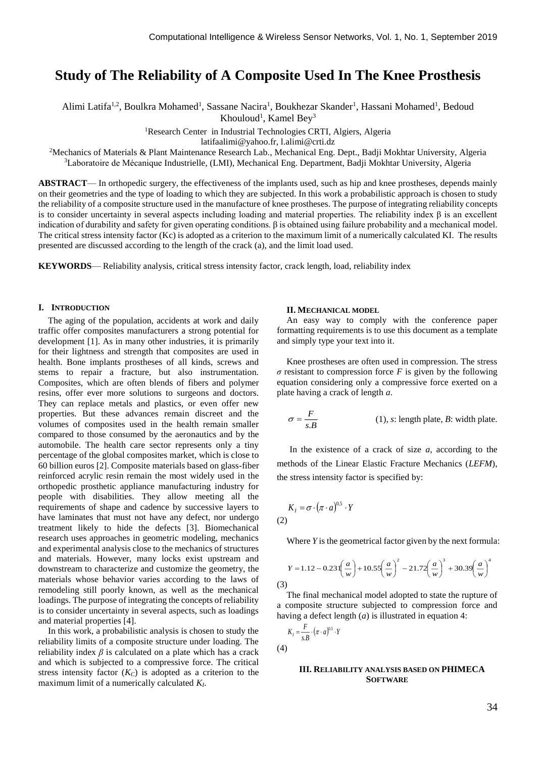# **Study of The Reliability of A Composite Used In The Knee Prosthesis**

Alimi Latifa<sup>1,2</sup>, Boulkra Mohamed<sup>1</sup>, Sassane Nacira<sup>1</sup>, Boukhezar Skander<sup>1</sup>, Hassani Mohamed<sup>1</sup>, Bedoud Khouloud<sup>1</sup>, Kamel Bey<sup>3</sup>

<sup>1</sup>Research Center in Industrial Technologies CRTI, Algiers, Algeria

latifaalimi@yahoo.fr, l.alimi@crti.dz

<sup>2</sup>Mechanics of Materials & Plant Maintenance Research Lab., Mechanical Eng. Dept., Badji Mokhtar University, Algeria <sup>3</sup>Laboratoire de Mécanique Industrielle, (LMI), Mechanical Eng. Department, Badji Mokhtar University, Algeria

**ABSTRACT**— In orthopedic surgery, the effectiveness of the implants used, such as hip and knee prostheses, depends mainly on their geometries and the type of loading to which they are subjected. In this work a probabilistic approach is chosen to study the reliability of a composite structure used in the manufacture of knee prostheses. The purpose of integrating reliability concepts is to consider uncertainty in several aspects including loading and material properties. The reliability index β is an excellent indication of durability and safety for given operating conditions. β is obtained using failure probability and a mechanical model. The critical stress intensity factor (Kc) is adopted as a criterion to the maximum limit of a numerically calculated KI. The results presented are discussed according to the length of the crack (a), and the limit load used.

**KEYWORDS**— Reliability analysis, critical stress intensity factor, crack length, load, reliability index

#### **I. INTRODUCTION**

The aging of the population, accidents at work and daily traffic offer composites manufacturers a strong potential for development [1]. As in many other industries, it is primarily for their lightness and strength that composites are used in health. Bone implants prostheses of all kinds, screws and stems to repair a fracture, but also instrumentation. Composites, which are often blends of fibers and polymer resins, offer ever more solutions to surgeons and doctors. They can replace metals and plastics, or even offer new properties. But these advances remain discreet and the volumes of composites used in the health remain smaller compared to those consumed by the aeronautics and by the automobile. The health care sector represents only a tiny percentage of the global composites market, which is close to 60 billion euros [2]. Composite materials based on glass-fiber reinforced acrylic resin remain the most widely used in the orthopedic prosthetic appliance manufacturing industry for people with disabilities. They allow meeting all the requirements of shape and cadence by successive layers to have laminates that must not have any defect, nor undergo treatment likely to hide the defects [3]. Biomechanical research uses approaches in geometric modeling, mechanics and experimental analysis close to the mechanics of structures and materials. However, many locks exist upstream and downstream to characterize and customize the geometry, the materials whose behavior varies according to the laws of remodeling still poorly known, as well as the mechanical loadings. The purpose of integrating the concepts of reliability is to consider uncertainty in several aspects, such as loadings and material properties [4].

In this work, a probabilistic analysis is chosen to study the reliability limits of a composite structure under loading. The reliability index  $\beta$  is calculated on a plate which has a crack and which is subjected to a compressive force. The critical stress intensity factor  $(K_C)$  is adopted as a criterion to the maximum limit of a numerically calculated *KI*.

#### **II. MECHANICAL MODEL**

An easy way to comply with the conference paper formatting requirements is to use this document as a template and simply type your text into it.

Knee prostheses are often used in compression. The stress *σ* resistant to compression force *F* is given by the following equation considering only a compressive force exerted on a plate having a crack of length *a*.

$$
\sigma = \frac{F}{s.B}
$$
 (1), s: length plate, B: width plate.

In the existence of a crack of size *a*, according to the methods of the Linear Elastic Fracture Mechanics (*LEFM*), the stress intensity factor is specified by:

$$
K_I = \sigma \cdot (\pi \cdot a)^{0.5} \cdot Y
$$

Where *Y* is the geometrical factor given by the next formula:

$$
Y = 1.12 - 0.231\left(\frac{a}{w}\right) + 10.55\left(\frac{a}{w}\right)^2 - 21.72\left(\frac{a}{w}\right)^3 + 30.39\left(\frac{a}{w}\right)^4
$$
\n(3)

The final mechanical model adopted to state the rupture of a composite structure subjected to compression force and having a defect length (*a*) is illustrated in equation 4:

$$
K_I = \frac{F}{s.B} \cdot (\pi \cdot a)^{0.5} \cdot Y
$$

(4)

### **III. RELIABILITY ANALYSIS BASED ON PHIMECA SOFTWARE**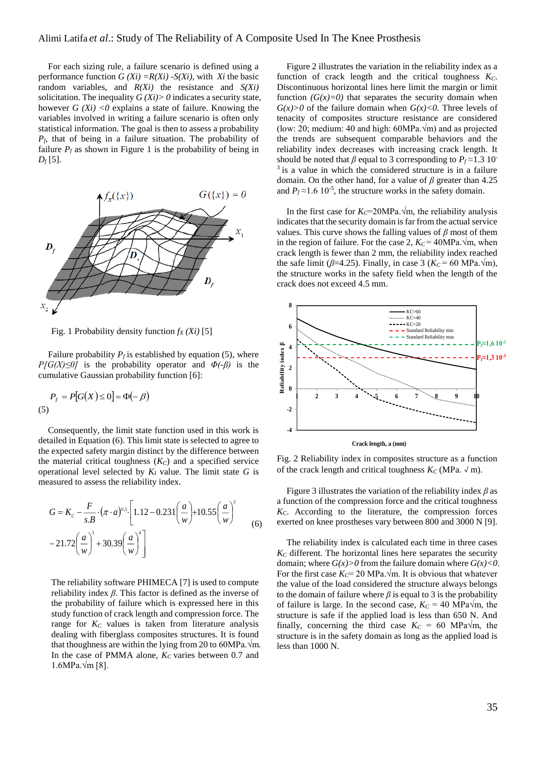For each sizing rule, a failure scenario is defined using a performance function  $G(X_i) = R(X_i) - S(X_i)$ , with *Xi* the basic random variables, and *R(Xi)* the resistance and *S(Xi)* solicitation. The inequality  $G(X_i) > 0$  indicates a security state, however  $G(X_i) < 0$  explains a state of failure. Knowing the variables involved in writing a failure scenario is often only statistical information. The goal is then to assess a probability *Pf,* that of being in a failure situation. The probability of failure  $P_f$  as shown in Figure 1 is the probability of being in  $D_f$ [5].



Fig. 1 Probability density function  $f_X(X_i)$  [5]

Failure probability  $P_f$  is established by equation (5), where *P[G(X)≤0]* is the probability operator and *Φ(-β)* is the cumulative Gaussian probability function [6]:

$$
P_f = P[G(X) \le 0] = \Phi(-\beta)
$$
  
(5)

Consequently, the limit state function used in this work is detailed in Equation (6). This limit state is selected to agree to the expected safety margin distinct by the difference between the material critical toughness (*KC*) and a specified service operational level selected by *K<sup>I</sup>* value. The limit state *G* is measured to assess the reliability index.

$$
G = K_c - \frac{F}{s.B} \cdot (\pi \cdot a)^{0.5} \cdot \left[ 1.12 - 0.231 \left( \frac{a}{w} \right) + 10.55 \left( \frac{a}{w} \right)^2 - 21.72 \left( \frac{a}{w} \right)^3 + 30.39 \left( \frac{a}{w} \right)^4 \right]
$$
(6)

The reliability software PHIMECA [7] is used to compute reliability index *β*. This factor is defined as the inverse of the probability of failure which is expressed here in this study function of crack length and compression force. The range for *K<sup>C</sup>* values is taken from literature analysis dealing with fiberglass composites structures. It is found that thoughness are within the lying from 20 to 60MPa. $\sqrt{m}$ . In the case of PMMA alone, *K<sup>C</sup>* varies between 0.7 and 1.6MPa.√m [8].

Figure 2 illustrates the variation in the reliability index as a function of crack length and the critical toughness *KC*. Discontinuous horizontal lines here limit the margin or limit function  $(G(x)=0)$  that separates the security domain when  $G(x) > 0$  of the failure domain when  $G(x) < 0$ . Three levels of tenacity of composites structure resistance are considered (low: 20; medium: 40 and high:  $60MPa.\sqrt{m}$ ) and as projected the trends are subsequent comparable behaviors and the reliability index decreases with increasing crack length. It should be noted that  $\beta$  equal to 3 corresponding to  $P_f \approx 1.3$  10<sup>-</sup>  $3$  is a value in which the considered structure is in a failure domain. On the other hand, for a value of *β* greater than 4.25 and  $P_f \approx 1.6 \, 10^{-5}$ , the structure works in the safety domain.

In the first case for  $K_C$ =20MPa. $\sqrt{m}$ , the reliability analysis indicates that the security domain is far from the actual service values. This curve shows the falling values of *β* most of them in the region of failure. For the case 2,  $K_C = 40MPa.\sqrt{m}$ , when crack length is fewer than 2 mm, the reliability index reached the safe limit ( $\beta$ =4.25). Finally, in case 3 ( $K_C$  = 60 MPa. $\sqrt{m}$ ), the structure works in the safety field when the length of the crack does not exceed 4.5 mm.



Fig. 2 Reliability index in composites structure as a function of the crack length and critical toughness  $K_C$  (MPa.  $\sqrt{m}$ ).

Figure 3 illustrates the variation of the reliability index *β* as a function of the compression force and the critical toughness *KC*. According to the literature, the compression forces exerted on knee prostheses vary between 800 and 3000 N [9].

The reliability index is calculated each time in three cases *K<sup>C</sup>* different. The horizontal lines here separates the security domain; where  $G(x) > 0$  from the failure domain where  $G(x) < 0$ . For the first case  $K_C$ = 20 MPa. $\sqrt{m}$ . It is obvious that whatever the value of the load considered the structure always belongs to the domain of failure where  $\beta$  is equal to 3 is the probability of failure is large. In the second case,  $K_C = 40$  MPa $\sqrt{m}$ , the structure is safe if the applied load is less than 650 N. And finally, concerning the third case  $K_C = 60$  MPa $\sqrt{m}$ , the structure is in the safety domain as long as the applied load is less than 1000 N.